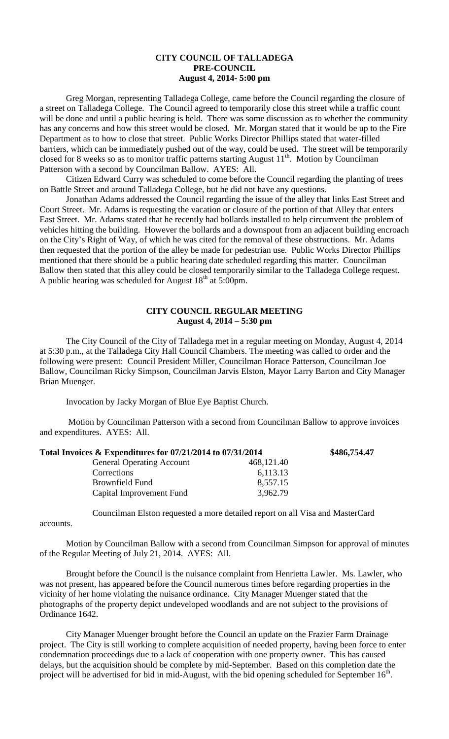## **CITY COUNCIL OF TALLADEGA PRE-COUNCIL August 4, 2014- 5:00 pm**

Greg Morgan, representing Talladega College, came before the Council regarding the closure of a street on Talladega College. The Council agreed to temporarily close this street while a traffic count will be done and until a public hearing is held. There was some discussion as to whether the community has any concerns and how this street would be closed. Mr. Morgan stated that it would be up to the Fire Department as to how to close that street. Public Works Director Phillips stated that water-filled barriers, which can be immediately pushed out of the way, could be used. The street will be temporarily closed for 8 weeks so as to monitor traffic patterns starting August 11<sup>th</sup>. Motion by Councilman Patterson with a second by Councilman Ballow. AYES: All.

Citizen Edward Curry was scheduled to come before the Council regarding the planting of trees on Battle Street and around Talladega College, but he did not have any questions.

Jonathan Adams addressed the Council regarding the issue of the alley that links East Street and Court Street. Mr. Adams is requesting the vacation or closure of the portion of that Alley that enters East Street. Mr. Adams stated that he recently had bollards installed to help circumvent the problem of vehicles hitting the building. However the bollards and a downspout from an adjacent building encroach on the City's Right of Way, of which he was cited for the removal of these obstructions. Mr. Adams then requested that the portion of the alley be made for pedestrian use. Public Works Director Phillips mentioned that there should be a public hearing date scheduled regarding this matter. Councilman Ballow then stated that this alley could be closed temporarily similar to the Talladega College request. A public hearing was scheduled for August  $18<sup>th</sup>$  at 5:00pm.

## **CITY COUNCIL REGULAR MEETING August 4, 2014 – 5:30 pm**

The City Council of the City of Talladega met in a regular meeting on Monday, August 4, 2014 at 5:30 p.m., at the Talladega City Hall Council Chambers. The meeting was called to order and the following were present: Council President Miller, Councilman Horace Patterson, Councilman Joe Ballow, Councilman Ricky Simpson, Councilman Jarvis Elston, Mayor Larry Barton and City Manager Brian Muenger.

Invocation by Jacky Morgan of Blue Eye Baptist Church.

Motion by Councilman Patterson with a second from Councilman Ballow to approve invoices and expenditures. AYES: All.

| Total Invoices & Expenditures for 07/21/2014 to 07/31/2014 |            | \$486,754.47 |
|------------------------------------------------------------|------------|--------------|
| <b>General Operating Account</b>                           | 468,121.40 |              |
| Corrections                                                | 6,113.13   |              |
| <b>Brownfield Fund</b>                                     | 8,557.15   |              |
| Capital Improvement Fund                                   | 3,962.79   |              |

Councilman Elston requested a more detailed report on all Visa and MasterCard

accounts.

Motion by Councilman Ballow with a second from Councilman Simpson for approval of minutes of the Regular Meeting of July 21, 2014. AYES: All.

Brought before the Council is the nuisance complaint from Henrietta Lawler. Ms. Lawler, who was not present, has appeared before the Council numerous times before regarding properties in the vicinity of her home violating the nuisance ordinance. City Manager Muenger stated that the photographs of the property depict undeveloped woodlands and are not subject to the provisions of Ordinance 1642.

City Manager Muenger brought before the Council an update on the Frazier Farm Drainage project. The City is still working to complete acquisition of needed property, having been force to enter condemnation proceedings due to a lack of cooperation with one property owner. This has caused delays, but the acquisition should be complete by mid-September. Based on this completion date the project will be advertised for bid in mid-August, with the bid opening scheduled for September  $16<sup>th</sup>$ .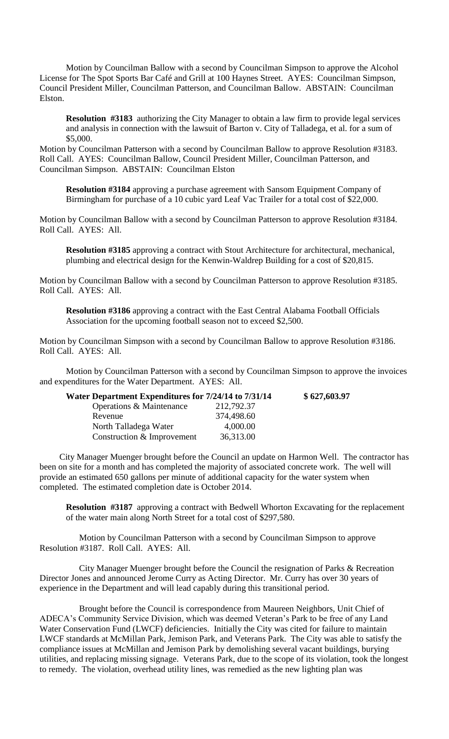Motion by Councilman Ballow with a second by Councilman Simpson to approve the Alcohol License for The Spot Sports Bar Café and Grill at 100 Haynes Street. AYES: Councilman Simpson, Council President Miller, Councilman Patterson, and Councilman Ballow. ABSTAIN: Councilman Elston.

**Resolution #3183** authorizing the City Manager to obtain a law firm to provide legal services and analysis in connection with the lawsuit of Barton v. City of Talladega, et al. for a sum of \$5,000.

Motion by Councilman Patterson with a second by Councilman Ballow to approve Resolution #3183. Roll Call. AYES: Councilman Ballow, Council President Miller, Councilman Patterson, and Councilman Simpson. ABSTAIN: Councilman Elston

**Resolution #3184** approving a purchase agreement with Sansom Equipment Company of Birmingham for purchase of a 10 cubic yard Leaf Vac Trailer for a total cost of \$22,000.

Motion by Councilman Ballow with a second by Councilman Patterson to approve Resolution #3184. Roll Call. AYES: All.

**Resolution #3185** approving a contract with Stout Architecture for architectural, mechanical, plumbing and electrical design for the Kenwin-Waldrep Building for a cost of \$20,815.

Motion by Councilman Ballow with a second by Councilman Patterson to approve Resolution #3185. Roll Call. AYES: All.

**Resolution #3186** approving a contract with the East Central Alabama Football Officials Association for the upcoming football season not to exceed \$2,500.

Motion by Councilman Simpson with a second by Councilman Ballow to approve Resolution #3186. Roll Call. AYES: All.

Motion by Councilman Patterson with a second by Councilman Simpson to approve the invoices and expenditures for the Water Department. AYES: All.

| Water Department Expenditures for 7/24/14 to 7/31/14 |            | \$627,603.97 |
|------------------------------------------------------|------------|--------------|
| Operations & Maintenance                             | 212,792.37 |              |
| Revenue                                              | 374,498.60 |              |
| North Talladega Water                                | 4,000.00   |              |
| Construction & Improvement                           | 36,313.00  |              |

City Manager Muenger brought before the Council an update on Harmon Well. The contractor has been on site for a month and has completed the majority of associated concrete work. The well will provide an estimated 650 gallons per minute of additional capacity for the water system when completed. The estimated completion date is October 2014.

**Resolution #3187** approving a contract with Bedwell Whorton Excavating for the replacement of the water main along North Street for a total cost of \$297,580.

Motion by Councilman Patterson with a second by Councilman Simpson to approve Resolution #3187. Roll Call. AYES: All.

City Manager Muenger brought before the Council the resignation of Parks & Recreation Director Jones and announced Jerome Curry as Acting Director. Mr. Curry has over 30 years of experience in the Department and will lead capably during this transitional period.

Brought before the Council is correspondence from Maureen Neighbors, Unit Chief of ADECA's Community Service Division, which was deemed Veteran's Park to be free of any Land Water Conservation Fund (LWCF) deficiencies. Initially the City was cited for failure to maintain LWCF standards at McMillan Park, Jemison Park, and Veterans Park. The City was able to satisfy the compliance issues at McMillan and Jemison Park by demolishing several vacant buildings, burying utilities, and replacing missing signage. Veterans Park, due to the scope of its violation, took the longest to remedy. The violation, overhead utility lines, was remedied as the new lighting plan was